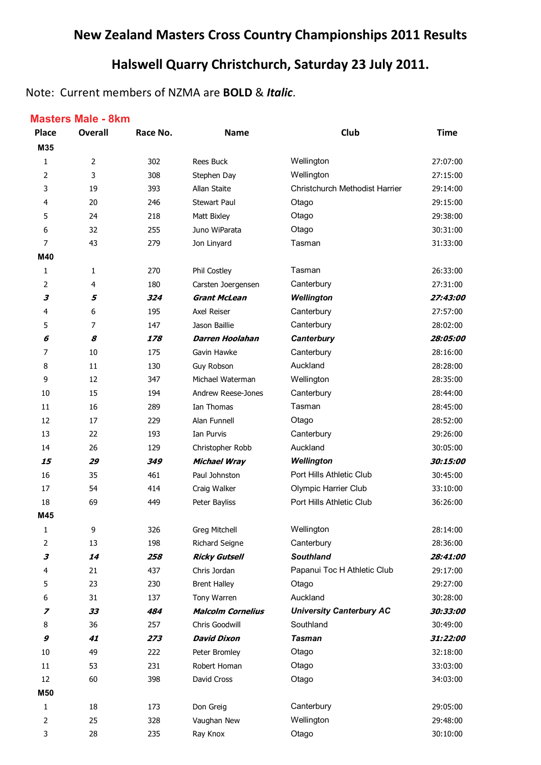# **New Zealand Masters Cross Country Championships 2011 Results**

# **Halswell Quarry Christchurch, Saturday 23 July 2011.**

### Note: Current members of NZMA are **BOLD** & *Italic*.

#### **Masters Male - 8km**

| <b>Place</b>   | <b>Overall</b> | Race No. | <b>Name</b>              | Club                            | <b>Time</b> |
|----------------|----------------|----------|--------------------------|---------------------------------|-------------|
| M35            |                |          |                          |                                 |             |
| 1              | $\overline{2}$ | 302      | <b>Rees Buck</b>         | Wellington                      | 27:07:00    |
| 2              | 3              | 308      | Stephen Day              | Wellington                      | 27:15:00    |
| 3              | 19             | 393      | Allan Staite             | Christchurch Methodist Harrier  | 29:14:00    |
| 4              | 20             | 246      | <b>Stewart Paul</b>      | Otago                           | 29:15:00    |
| 5              | 24             | 218      | Matt Bixley              | Otago                           | 29:38:00    |
| 6              | 32             | 255      | Juno WiParata            | Otago                           | 30:31:00    |
| $\overline{7}$ | 43             | 279      | Jon Linyard              | Tasman                          | 31:33:00    |
| M40            |                |          |                          |                                 |             |
| 1              | 1              | 270      | Phil Costley             | Tasman                          | 26:33:00    |
| 2              | 4              | 180      | Carsten Joergensen       | Canterbury                      | 27:31:00    |
| 3              | 5              | 324      | <b>Grant McLean</b>      | Wellington                      | 27:43:00    |
| 4              | 6              | 195      | Axel Reiser              | Canterbury                      | 27:57:00    |
| 5              | 7              | 147      | Jason Baillie            | Canterbury                      | 28:02:00    |
| 6              | 8              | 178      | <b>Darren Hoolahan</b>   | Canterbury                      | 28:05:00    |
| 7              | 10             | 175      | Gavin Hawke              | Canterbury                      | 28:16:00    |
| 8              | 11             | 130      | Guy Robson               | Auckland                        | 28:28:00    |
| 9              | 12             | 347      | Michael Waterman         | Wellington                      | 28:35:00    |
| 10             | 15             | 194      | Andrew Reese-Jones       | Canterbury                      | 28:44:00    |
| 11             | 16             | 289      | Ian Thomas               | Tasman                          | 28:45:00    |
| 12             | 17             | 229      | Alan Funnell             | Otago                           | 28:52:00    |
| 13             | 22             | 193      | Ian Purvis               | Canterbury                      | 29:26:00    |
| 14             | 26             | 129      | Christopher Robb         | Auckland                        | 30:05:00    |
| 15             | 29             | 349      | <b>Michael Wray</b>      | Wellington                      | 30:15:00    |
| 16             | 35             | 461      | Paul Johnston            | Port Hills Athletic Club        | 30:45:00    |
| 17             | 54             | 414      | Craig Walker             | Olympic Harrier Club            | 33:10:00    |
| 18             | 69             | 449      | Peter Bayliss            | Port Hills Athletic Club        | 36:26:00    |
| M45            |                |          |                          |                                 |             |
| 1              | 9              | 326      | Greg Mitchell            | Wellington                      | 28:14:00    |
| 2              | 13             | 198      | Richard Seigne           | Canterbury                      | 28:36:00    |
| 3              | 14             | 258      | <b>Ricky Gutsell</b>     | <b>Southland</b>                | 28:41:00    |
| 4              | 21             | 437      | Chris Jordan             | Papanui Toc H Athletic Club     | 29:17:00    |
| 5              | 23             | 230      | <b>Brent Halley</b>      | Otago                           | 29:27:00    |
| 6              | 31             | 137      | Tony Warren              | Auckland                        | 30:28:00    |
| 7              | 33             | 484      | <b>Malcolm Cornelius</b> | <b>University Canterbury AC</b> | 30:33:00    |
| 8              | 36             | 257      | Chris Goodwill           | Southland                       | 30:49:00    |
| 9              | 41             | 273      | <b>David Dixon</b>       | <b>Tasman</b>                   | 31:22:00    |
| 10             | 49             | 222      | Peter Bromley            | Otago                           | 32:18:00    |
| $11\,$         | 53             | 231      | Robert Homan             | Otago                           | 33:03:00    |
| 12             | 60             | 398      | David Cross              | Otago                           | 34:03:00    |
| M50            |                |          |                          |                                 |             |
| 1              | 18             | 173      | Don Greig                | Canterbury                      | 29:05:00    |
| 2              | 25             | 328      | Vaughan New              | Wellington                      | 29:48:00    |
| 3              | 28             | 235      | Ray Knox                 | Otago                           | 30:10:00    |
|                |                |          |                          |                                 |             |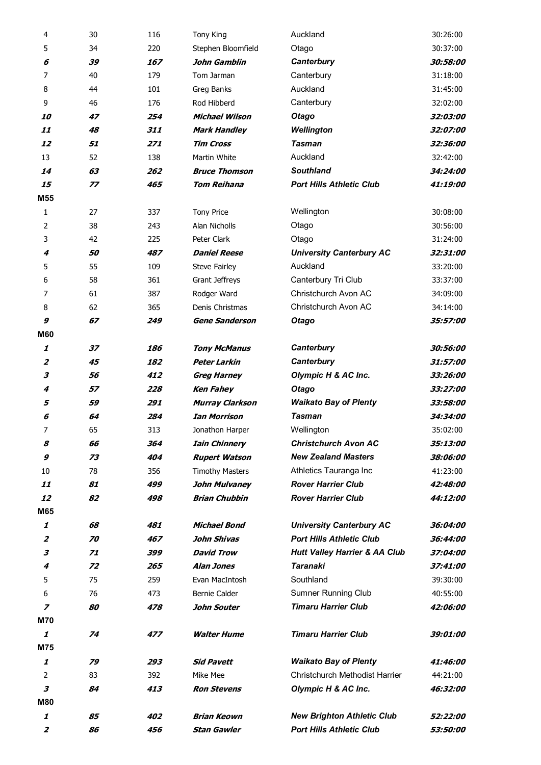| 4                            | 30       | 116        | <b>Tony King</b>       | Auckland                                                 | 30:26:00               |
|------------------------------|----------|------------|------------------------|----------------------------------------------------------|------------------------|
| 5                            | 34       | 220        | Stephen Bloomfield     | Otago                                                    | 30:37:00               |
| 6                            | 39       | 167        | John Gamblin           | Canterbury                                               | 30:58:00               |
| 7                            | 40       | 179        | Tom Jarman             | Canterbury                                               | 31:18:00               |
| 8                            | 44       | 101        | Greg Banks             | Auckland                                                 | 31:45:00               |
| 9                            | 46       | 176        | Rod Hibberd            | Canterbury                                               | 32:02:00               |
| <i><b>10</b></i>             | 47       | 254        | <b>Michael Wilson</b>  | <b>Otago</b>                                             | 32:03:00               |
| 11                           | 48       | 311        | <b>Mark Handley</b>    | Wellington                                               | 32:07:00               |
| 12                           | 51       | 271        | <b>Tim Cross</b>       | <b>Tasman</b>                                            | 32:36:00               |
| 13                           | 52       | 138        | Martin White           | Auckland                                                 | 32:42:00               |
| 14                           | 63       | 262        | <b>Bruce Thomson</b>   | <b>Southland</b>                                         | 34:24:00               |
| 15                           | 77       | 465        | <b>Tom Reihana</b>     | <b>Port Hills Athletic Club</b>                          | 41:19:00               |
| M55                          |          |            |                        |                                                          |                        |
| $\mathbf{1}$                 | 27       | 337        | <b>Tony Price</b>      | Wellington                                               | 30:08:00               |
| 2                            | 38       | 243        | Alan Nicholls          | Otago                                                    | 30:56:00               |
| 3                            | 42       | 225        | Peter Clark            | Otago                                                    | 31:24:00               |
| 4                            | 50       | 487        | <b>Daniel Reese</b>    | <b>University Canterbury AC</b>                          | 32:31:00               |
| 5                            | 55       | 109        | <b>Steve Fairley</b>   | Auckland                                                 | 33:20:00               |
| 6                            | 58       | 361        | Grant Jeffreys         | Canterbury Tri Club                                      | 33:37:00               |
| 7                            | 61       | 387        | Rodger Ward            | Christchurch Avon AC                                     | 34:09:00               |
| 8                            | 62       | 365        | Denis Christmas        | Christchurch Avon AC                                     | 34:14:00               |
| 9                            | 67       | 249        | <b>Gene Sanderson</b>  | <b>Otago</b>                                             | 35:57:00               |
| <b>M60</b>                   |          |            |                        |                                                          |                        |
| 1                            | 37       | 186        | <b>Tony McManus</b>    | Canterbury                                               | 30:56:00               |
| 2                            | 45       | 182        | Peter Larkin           | Canterbury                                               | 31:57:00               |
| 3                            | 56       | 412        | <b>Greg Harney</b>     | Olympic H & AC Inc.                                      | 33:26:00               |
| 4                            | 57       | 228        | <b>Ken Fahey</b>       | <b>Otago</b>                                             | 33:27:00               |
| 5                            | 59       | 291        | <b>Murray Clarkson</b> | <b>Waikato Bay of Plenty</b>                             | 33:58:00               |
| 6                            | 64       | 284        | <b>Ian Morrison</b>    | <b>Tasman</b>                                            | 34:34:00               |
| 7                            | 65       | 313        | Jonathon Harper        | Wellington                                               | 35:02:00               |
| 8                            | 66       | 364        | <b>Iain Chinnery</b>   | <b>Christchurch Avon AC</b>                              | 35:13:00               |
| 9                            | 73       | 404        | <b>Rupert Watson</b>   | <b>New Zealand Masters</b>                               | 38:06:00               |
| 10                           | 78       | 356        | <b>Timothy Masters</b> | Athletics Tauranga Inc                                   | 41:23:00               |
| 11                           | 81       | 499        | John Mulvaney          | <b>Rover Harrier Club</b>                                | 42:48:00               |
| 12                           | 82       | 498        | <b>Brian Chubbin</b>   | <b>Rover Harrier Club</b>                                | 44:12:00               |
| M65                          |          |            |                        |                                                          |                        |
| 1                            | 68       | 481        | <b>Michael Bond</b>    | <b>University Canterbury AC</b>                          | 36:04:00               |
| $\overline{z}$               | 70       | 467        | John Shivas            | <b>Port Hills Athletic Club</b>                          | <i><b>36:44:00</b></i> |
| 3                            | 71       | 399        | <b>David Trow</b>      | <b>Hutt Valley Harrier &amp; AA Club</b>                 | 37:04:00               |
| 4                            | 72       | 265        | <b>Alan Jones</b>      | <b>Taranaki</b>                                          | 37:41:00               |
| 5                            | 75<br>76 | 259<br>473 | Evan MacIntosh         | Southland                                                | 39:30:00               |
| 6                            | 80       |            | <b>Bernie Calder</b>   | <b>Sumner Running Club</b><br><b>Timaru Harrier Club</b> | 40:55:00               |
| $\overline{z}$<br><b>M70</b> |          | 478        | John Souter            |                                                          | <i><b>42:06:00</b></i> |
| 1                            | 74       | 477        | <b>Walter Hume</b>     | <b>Timaru Harrier Club</b>                               | <i><b>39:01:00</b></i> |
| M75                          |          |            |                        |                                                          |                        |
| 1                            | 79       | 293        | <b>Sid Pavett</b>      | <b>Waikato Bay of Plenty</b>                             | 41:46:00               |
| 2                            | 83       | 392        | Mike Mee               | Christchurch Methodist Harrier                           | 44:21:00               |
| 3                            | 84       | 413        | <b>Ron Stevens</b>     | Olympic H & AC Inc.                                      | 46:32:00               |
| <b>M80</b>                   |          |            |                        |                                                          |                        |
| 1                            | 85       | 402        | Brian Keown            | <b>New Brighton Athletic Club</b>                        | 52:22:00               |
| 2                            | 86       | 456        | <b>Stan Gawler</b>     | <b>Port Hills Athletic Club</b>                          | 53:50:00               |
|                              |          |            |                        |                                                          |                        |